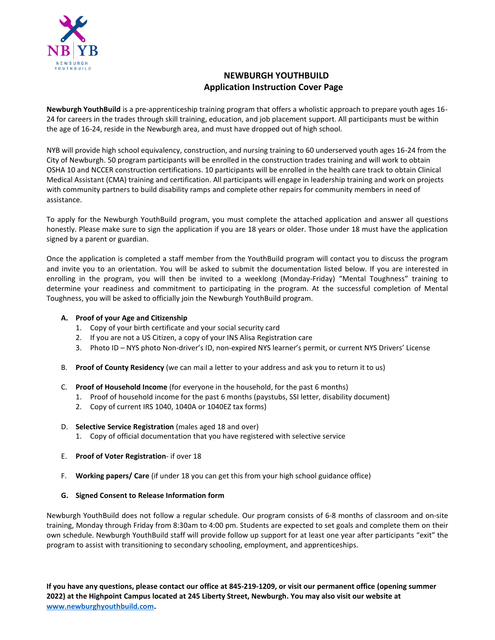

# **NEWBURGH YOUTHBUILD Application Instruction Cover Page**

**Newburgh YouthBuild** is a pre-apprenticeship training program that offers a wholistic approach to prepare youth ages 16- 24 for careers in the trades through skill training, education, and job placement support. All participants must be within the age of 16-24, reside in the Newburgh area, and must have dropped out of high school.

NYB will provide high school equivalency, construction, and nursing training to 60 underserved youth ages 16-24 from the City of Newburgh. 50 program participants will be enrolled in the construction trades training and will work to obtain OSHA 10 and NCCER construction certifications. 10 participants will be enrolled in the health care track to obtain Clinical Medical Assistant (CMA) training and certification. All participants will engage in leadership training and work on projects with community partners to build disability ramps and complete other repairs for community members in need of assistance.

To apply for the Newburgh YouthBuild program, you must complete the attached application and answer all questions honestly. Please make sure to sign the application if you are 18 years or older. Those under 18 must have the application signed by a parent or guardian.

Once the application is completed a staff member from the YouthBuild program will contact you to discuss the program and invite you to an orientation. You will be asked to submit the documentation listed below. If you are interested in enrolling in the program, you will then be invited to a weeklong (Monday-Friday) "Mental Toughness" training to determine your readiness and commitment to participating in the program. At the successful completion of Mental Toughness, you will be asked to officially join the Newburgh YouthBuild program.

#### **A. Proof of your Age and Citizenship**

- 1. Copy of your birth certificate and your social security card
- 2. If you are not a US Citizen, a copy of your INS Alisa Registration care
- 3. Photo ID NYS photo Non-driver's ID, non-expired NYS learner's permit, or current NYS Drivers' License
- B. **Proof of County Residency** (we can mail a letter to your address and ask you to return it to us)
- C. **Proof of Household Income** (for everyone in the household, for the past 6 months)
	- 1. Proof of household income for the past 6 months (paystubs, SSI letter, disability document)
	- 2. Copy of current IRS 1040, 1040A or 1040EZ tax forms)
- D. **Selective Service Registration** (males aged 18 and over)
	- 1. Copy of official documentation that you have registered with selective service
- E. **Proof of Voter Registration** if over 18
- F. **Working papers/ Care** (if under 18 you can get this from your high school guidance office)

#### **G. Signed Consent to Release Information form**

Newburgh YouthBuild does not follow a regular schedule. Our program consists of 6-8 months of classroom and on-site training, Monday through Friday from 8:30am to 4:00 pm. Students are expected to set goals and complete them on their own schedule. Newburgh YouthBuild staff will provide follow up support for at least one year after participants "exit" the program to assist with transitioning to secondary schooling, employment, and apprenticeships.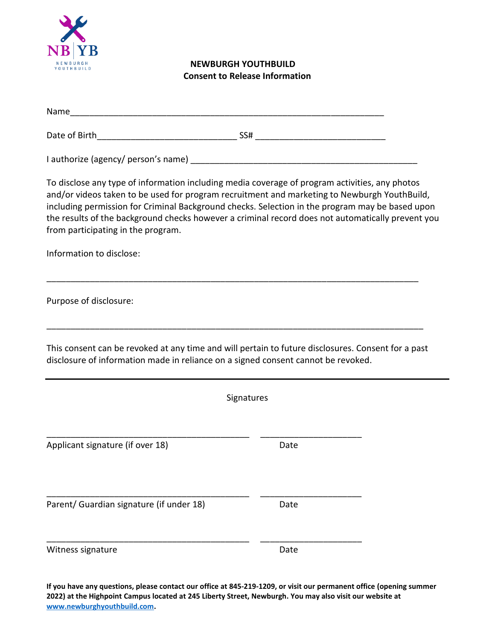

## **NEWBURGH YOUTHBUILD Consent to Release Information**

| Name                                                                              |                                                                                                                                                                                                                                                                                                                                                                                                        |
|-----------------------------------------------------------------------------------|--------------------------------------------------------------------------------------------------------------------------------------------------------------------------------------------------------------------------------------------------------------------------------------------------------------------------------------------------------------------------------------------------------|
|                                                                                   |                                                                                                                                                                                                                                                                                                                                                                                                        |
|                                                                                   |                                                                                                                                                                                                                                                                                                                                                                                                        |
| from participating in the program.                                                | To disclose any type of information including media coverage of program activities, any photos<br>and/or videos taken to be used for program recruitment and marketing to Newburgh YouthBuild,<br>including permission for Criminal Background checks. Selection in the program may be based upon<br>the results of the background checks however a criminal record does not automatically prevent you |
| Information to disclose:                                                          |                                                                                                                                                                                                                                                                                                                                                                                                        |
| Purpose of disclosure:                                                            |                                                                                                                                                                                                                                                                                                                                                                                                        |
| disclosure of information made in reliance on a signed consent cannot be revoked. | This consent can be revoked at any time and will pertain to future disclosures. Consent for a past                                                                                                                                                                                                                                                                                                     |
|                                                                                   | Signatures                                                                                                                                                                                                                                                                                                                                                                                             |
| Applicant signature (if over 18)                                                  | Date                                                                                                                                                                                                                                                                                                                                                                                                   |
| Parent/ Guardian signature (if under 18)                                          | Date                                                                                                                                                                                                                                                                                                                                                                                                   |
| Witness signature                                                                 | Date                                                                                                                                                                                                                                                                                                                                                                                                   |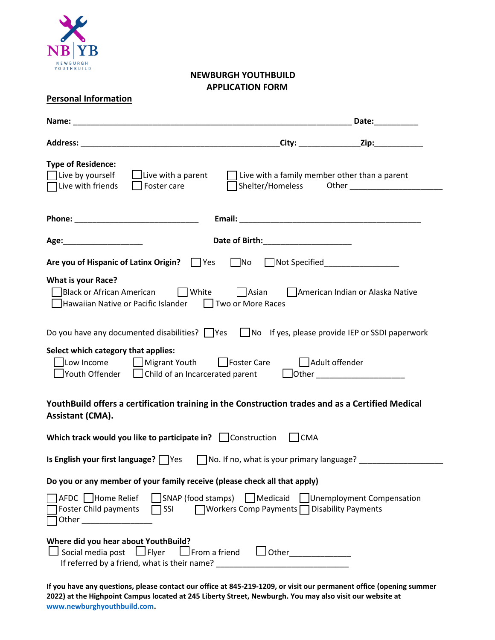

## **NEWBURGH YOUTHBUILD APPLICATION FORM**

|                                                                                                                                                                                                                                                                                                                                                                           |                                      | Date: Date:               |
|---------------------------------------------------------------------------------------------------------------------------------------------------------------------------------------------------------------------------------------------------------------------------------------------------------------------------------------------------------------------------|--------------------------------------|---------------------------|
|                                                                                                                                                                                                                                                                                                                                                                           |                                      |                           |
| <b>Type of Residence:</b><br>Live by yourself<br>$\Box$ Live with a parent $\Box$ Live with a family member other than a parent<br>$\Box$ Foster care<br>Live with friends                                                                                                                                                                                                |                                      |                           |
|                                                                                                                                                                                                                                                                                                                                                                           |                                      |                           |
|                                                                                                                                                                                                                                                                                                                                                                           | Date of Birth:______________________ |                           |
| Are you of Hispanic of Latinx Origin? Ves Mo Not Specified______________________                                                                                                                                                                                                                                                                                          |                                      |                           |
| <b>What is your Race?</b><br>□Black or African American □ White □ Asian □ American Indian or Alaska Native<br>□Hawaiian Native or Pacific Islander □ Two or More Races                                                                                                                                                                                                    |                                      |                           |
| Do you have any documented disabilities? $\Box$ Yes $\Box$ No If yes, please provide IEP or SSDI paperwork                                                                                                                                                                                                                                                                |                                      |                           |
| Select which category that applies:<br>□Low Income   □ Migrant Youth   □ Foster Care      △ Adult offender<br>The Prouth Offender $\Box$ Child of an Incarcerated parent $\Box$ Other $\Box$ Other $\Box$                                                                                                                                                                 |                                      |                           |
| YouthBuild offers a certification training in the Construction trades and as a Certified Medical<br><b>Assistant (CMA).</b>                                                                                                                                                                                                                                               |                                      |                           |
| Which track would you like to participate in? Construction CMA                                                                                                                                                                                                                                                                                                            |                                      |                           |
| <b>Is English your first language?</b> $\bigcap$ Yes $\bigcap$ No. If no, what is your primary language?                                                                                                                                                                                                                                                                  |                                      |                           |
| Do you or any member of your family receive (please check all that apply)                                                                                                                                                                                                                                                                                                 |                                      |                           |
| SNAP (food stamps) Medicaid<br>AFDC Home Relief<br>□ Workers Comp Payments □ Disability Payments<br>Foster Child payments<br>$\Box$ SSI<br>Other the contract of the contract of the contract of the contract of the contract of the contract of the contract of the contract of the contract of the contract of the contract of the contract of the contract of the cont |                                      | Unemployment Compensation |
| Where did you hear about YouthBuild?<br>$\Box$ Social media post $\Box$ Flyer<br>If referred by a friend, what is their name? ___________________________________                                                                                                                                                                                                         |                                      |                           |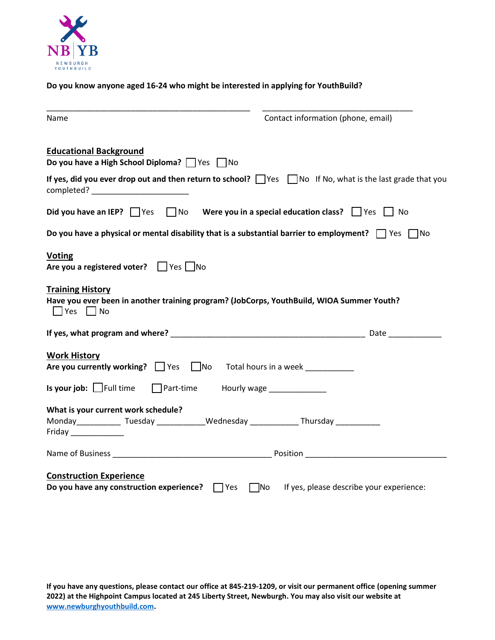

### **Do you know anyone aged 16-24 who might be interested in applying for YouthBuild?**

| Name                                                                                                                                                 | Contact information (phone, email)                 |  |  |  |  |
|------------------------------------------------------------------------------------------------------------------------------------------------------|----------------------------------------------------|--|--|--|--|
| <b>Educational Background</b><br>Do you have a High School Diploma? Ves No                                                                           |                                                    |  |  |  |  |
| If yes, did you ever drop out and then return to school? Wes Mo If No, what is the last grade that you                                               |                                                    |  |  |  |  |
| Did you have an IEP? $\Box$ Yes $\Box$ No Were you in a special education class? $\Box$ Yes $\Box$ No                                                |                                                    |  |  |  |  |
| Do you have a physical or mental disability that is a substantial barrier to employment? $\Box$ Yes $\Box$ No                                        |                                                    |  |  |  |  |
| <b>Voting</b><br>Are you a registered voter? Fig. Tho                                                                                                |                                                    |  |  |  |  |
| <b>Training History</b><br>Have you ever been in another training program? (JobCorps, YouthBuild, WIOA Summer Youth?<br>$\Box$ Yes $\Box$ No         |                                                    |  |  |  |  |
|                                                                                                                                                      |                                                    |  |  |  |  |
| <b>Work History</b><br>Are you currently working? $\Box$ Yes $\Box$ No Total hours in a week                                                         |                                                    |  |  |  |  |
| <b>Is your job:</b> $\Box$ Full time $\Box$ Part-time Hourly wage $\Box$                                                                             |                                                    |  |  |  |  |
| What is your current work schedule?<br>Monday_____________Tuesday _____________Wednesday _______________Thursday ____________<br>Friday ____________ |                                                    |  |  |  |  |
|                                                                                                                                                      |                                                    |  |  |  |  |
| <b>Construction Experience</b><br>Do you have any construction experience? $\Box$ Yes                                                                | $\Box$ No If yes, please describe your experience: |  |  |  |  |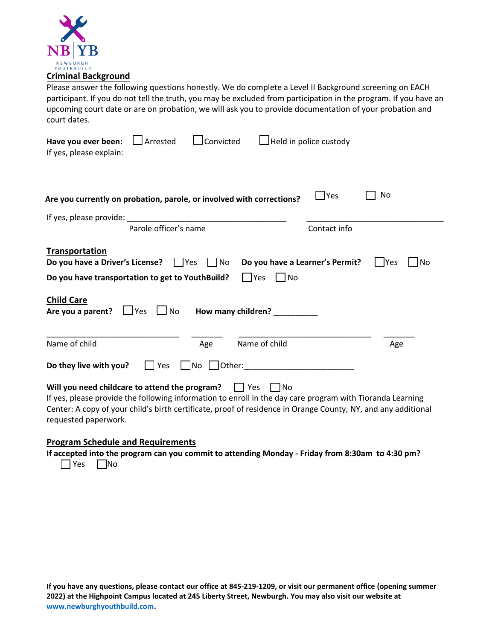

Please answer the following questions honestly. We do complete a Level II Background screening on EACH participant. If you do not tell the truth, you may be excluded from participation in the program. If you have an upcoming court date or are on probation, we will ask you to provide documentation of your probation and court dates.

| $\Box$ Convicted<br>$\Box$ Arrested<br>Have you ever been:<br>If yes, please explain:                                                                                                                                                                                                                         | $\Box$ Held in police custody                                                                          |  |  |  |
|---------------------------------------------------------------------------------------------------------------------------------------------------------------------------------------------------------------------------------------------------------------------------------------------------------------|--------------------------------------------------------------------------------------------------------|--|--|--|
| Are you currently on probation, parole, or involved with corrections?                                                                                                                                                                                                                                         | <b>Yes</b><br>No                                                                                       |  |  |  |
|                                                                                                                                                                                                                                                                                                               |                                                                                                        |  |  |  |
| Parole officer's name                                                                                                                                                                                                                                                                                         | Contact info                                                                                           |  |  |  |
| <b>Transportation</b><br>Do you have a Driver's License?<br>$\Box$ No<br>l IYes<br>Do you have transportation to get to YouthBuild?<br><b>Child Care</b><br>Are you a parent?<br>$\Box$ Yes<br>$\Box$ No                                                                                                      | Do you have a Learner's Permit?<br>1No<br>l IYes<br>$ $   Yes<br>l INo<br>How many children? _________ |  |  |  |
| Name of child<br>Age                                                                                                                                                                                                                                                                                          | Name of child<br>Age                                                                                   |  |  |  |
| Do they live with you?<br>   No    Other:<br>$\vert \vert$ Yes                                                                                                                                                                                                                                                |                                                                                                        |  |  |  |
| Will you need childcare to attend the program?<br>  Yes<br>If yes, please provide the following information to enroll in the day care program with Tioranda Learning<br>Center: A copy of your child's birth certificate, proof of residence in Orange County, NY, and any additional<br>requested paperwork. | No                                                                                                     |  |  |  |

### **Program Schedule and Requirements**

**If accepted into the program can you commit to attending Monday - Friday from 8:30am to 4:30 pm?**  $\Box$ Yes  $\Box$ No